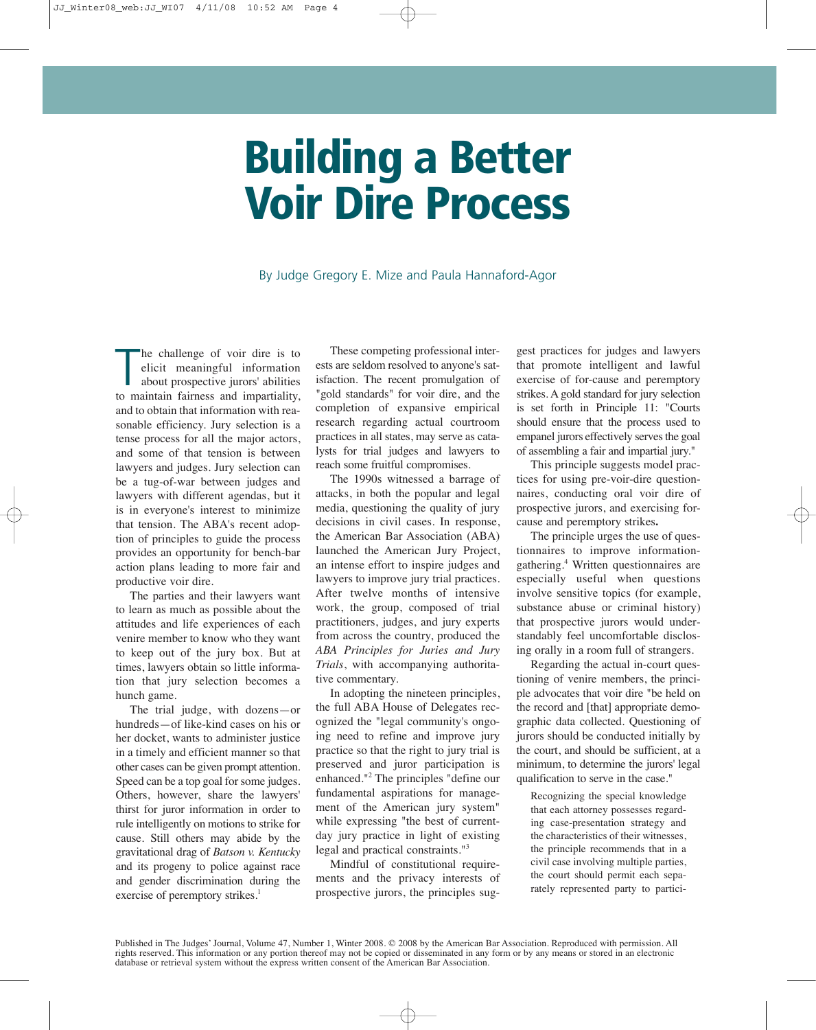# Building a Better Voir Dire Process

By Judge Gregory E. Mize and Paula Hannaford-Agor

The challenge of voir dire is to<br>elicit meaningful information<br>about prospective jurors' abilities<br>to maintain fairness and impartiality, he challenge of voir dire is to elicit meaningful information about prospective jurors' abilities and to obtain that information with reasonable efficiency. Jury selection is a tense process for all the major actors, and some of that tension is between lawyers and judges. Jury selection can be a tug-of-war between judges and lawyers with different agendas, but it is in everyone's interest to minimize that tension. The ABA's recent adoption of principles to guide the process provides an opportunity for bench-bar action plans leading to more fair and productive voir dire.

The parties and their lawyers want to learn as much as possible about the attitudes and life experiences of each venire member to know who they want to keep out of the jury box. But at times, lawyers obtain so little information that jury selection becomes a hunch game.

The trial judge, with dozens—or hundreds—of like-kind cases on his or her docket, wants to administer justice in a timely and efficient manner so that other cases can be given prompt attention. Speed can be a top goal for some judges. Others, however, share the lawyers' thirst for juror information in order to rule intelligently on motions to strike for cause. Still others may abide by the gravitational drag of *Batson v. Kentucky* and its progeny to police against race and gender discrimination during the exercise of peremptory strikes. 1

These competing professional interests are seldom resolved to anyone's satisfaction. The recent promulgation of "gold standards" for voir dire, and the completion of expansive empirical research regarding actual courtroom practices in all states, may serve as catalysts for trial judges and lawyers to reach some fruitful compromises.

The 1990s witnessed a barrage of attacks, in both the popular and legal media, questioning the quality of jury decisions in civil cases. In response, the American Bar Association (ABA) launched the American Jury Project, an intense effort to inspire judges and lawyers to improve jury trial practices. After twelve months of intensive work, the group, composed of trial practitioners, judges, and jury experts from across the country, produced the *ABA Principles for Juries and Jury Trials*, with accompanying authoritative commentary.

In adopting the nineteen principles, the full ABA House of Delegates recognized the "legal community's ongoing need to refine and improve jury practice so that the right to jury trial is preserved and juror participation is enhanced."2 The principles "define our fundamental aspirations for management of the American jury system" while expressing "the best of currentday jury practice in light of existing legal and practical constraints."3

Mindful of constitutional requirements and the privacy interests of prospective jurors, the principles sug-

gest practices for judges and lawyers that promote intelligent and lawful exercise of for-cause and peremptory strikes. A gold standard for jury selection is set forth in Principle 11: "Courts should ensure that the process used to empanel jurors effectively serves the goal of assembling a fair and impartial jury."

This principle suggests model practices for using pre-voir-dire questionnaires, conducting oral voir dire of prospective jurors, and exercising forcause and peremptory strikes**.**

The principle urges the use of questionnaires to improve informationgathering.4 Written questionnaires are especially useful when questions involve sensitive topics (for example, substance abuse or criminal history) that prospective jurors would understandably feel uncomfortable disclosing orally in a room full of strangers.

Regarding the actual in-court questioning of venire members, the principle advocates that voir dire "be held on the record and [that] appropriate demographic data collected. Questioning of jurors should be conducted initially by the court, and should be sufficient, at a minimum, to determine the jurors' legal qualification to serve in the case."

Recognizing the special knowledge that each attorney possesses regarding case-presentation strategy and the characteristics of their witnesses, the principle recommends that in a civil case involving multiple parties, the court should permit each separately represented party to partici-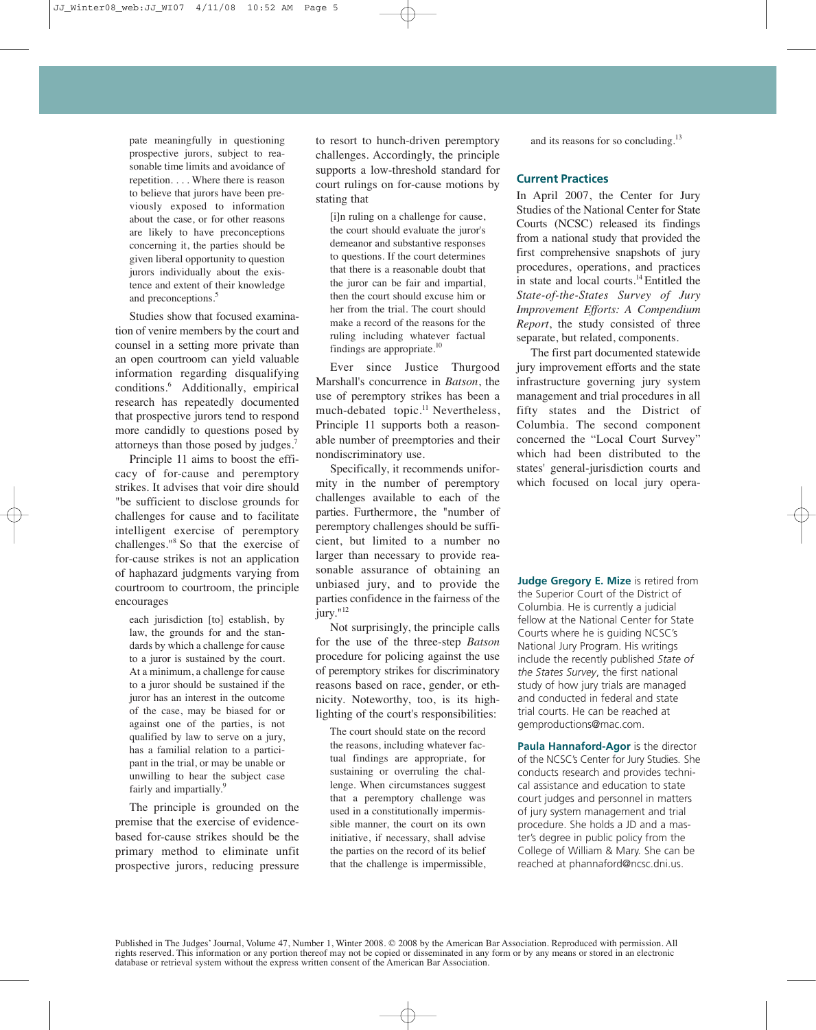pate meaningfully in questioning prospective jurors, subject to reasonable time limits and avoidance of repetition. . . . Where there is reason to believe that jurors have been previously exposed to information about the case, or for other reasons are likely to have preconceptions concerning it, the parties should be given liberal opportunity to question jurors individually about the existence and extent of their knowledge and preconceptions.<sup>5</sup>

Studies show that focused examination of venire members by the court and counsel in a setting more private than an open courtroom can yield valuable information regarding disqualifying conditions. <sup>6</sup> Additionally, empirical research has repeatedly documented that prospective jurors tend to respond more candidly to questions posed by attorneys than those posed by judges.7

Principle 11 aims to boost the efficacy of for-cause and peremptory strikes. It advises that voir dire should "be sufficient to disclose grounds for challenges for cause and to facilitate intelligent exercise of peremptory challenges."8 So that the exercise of for-cause strikes is not an application of haphazard judgments varying from courtroom to courtroom, the principle encourages

each jurisdiction [to] establish, by law, the grounds for and the standards by which a challenge for cause to a juror is sustained by the court. At a minimum, a challenge for cause to a juror should be sustained if the juror has an interest in the outcome of the case, may be biased for or against one of the parties, is not qualified by law to serve on a jury, has a familial relation to a participant in the trial, or may be unable or unwilling to hear the subject case fairly and impartially.<sup>9</sup>

The principle is grounded on the premise that the exercise of evidencebased for-cause strikes should be the primary method to eliminate unfit prospective jurors, reducing pressure

to resort to hunch-driven peremptory challenges. Accordingly, the principle supports a low-threshold standard for court rulings on for-cause motions by stating that

[i]n ruling on a challenge for cause, the court should evaluate the juror's demeanor and substantive responses to questions. If the court determines that there is a reasonable doubt that the juror can be fair and impartial, then the court should excuse him or her from the trial. The court should make a record of the reasons for the ruling including whatever factual findings are appropriate.<sup>10</sup>

Ever since Justice Thurgood Marshall's concurrence in *Batson*, the use of peremptory strikes has been a much-debated topic.<sup>11</sup> Nevertheless, Principle 11 supports both a reasonable number of preemptories and their nondiscriminatory use.

Specifically, it recommends uniformity in the number of peremptory challenges available to each of the parties. Furthermore, the "number of peremptory challenges should be sufficient, but limited to a number no larger than necessary to provide reasonable assurance of obtaining an unbiased jury, and to provide the parties confidence in the fairness of the jury."<sup>12</sup>

Not surprisingly, the principle calls for the use of the three-step *Batson* procedure for policing against the use of peremptory strikes for discriminatory reasons based on race, gender, or ethnicity. Noteworthy, too, is its highlighting of the court's responsibilities:

The court should state on the record the reasons, including whatever factual findings are appropriate, for sustaining or overruling the challenge. When circumstances suggest that a peremptory challenge was used in a constitutionally impermissible manner, the court on its own initiative, if necessary, shall advise the parties on the record of its belief that the challenge is impermissible, and its reasons for so concluding.<sup>13</sup>

### **Current Practices**

In April 2007, the Center for Jury Studies of the National Center for State Courts (NCSC) released its findings from a national study that provided the first comprehensive snapshots of jury procedures, operations, and practices in state and local courts.14Entitled the *State-of-the-States Survey of Jury Improvement Efforts: A Compendium Report*, the study consisted of three separate, but related, components.

The first part documented statewide jury improvement efforts and the state infrastructure governing jury system management and trial procedures in all fifty states and the District of Columbia. The second component concerned the "Local Court Survey" which had been distributed to the states' general-jurisdiction courts and which focused on local jury opera-

**Judge Gregory E. Mize** is retired from the Superior Court of the District of Columbia. He is currently a judicial fellow at the National Center for State Courts where he is guiding NCSC's National Jury Program. His writings include the recently published *State of the States Survey*, the first national study of how jury trials are managed and conducted in federal and state trial courts. He can be reached at gemproductions@mac.com.

**Paula Hannaford-Agor** is the director of the NCSC's Center for Jury Studies. She conducts research and provides technical assistance and education to state court judges and personnel in matters of jury system management and trial procedure. She holds a JD and a master's degree in public policy from the College of William & Mary. She can be reached at phannaford@ncsc.dni.us.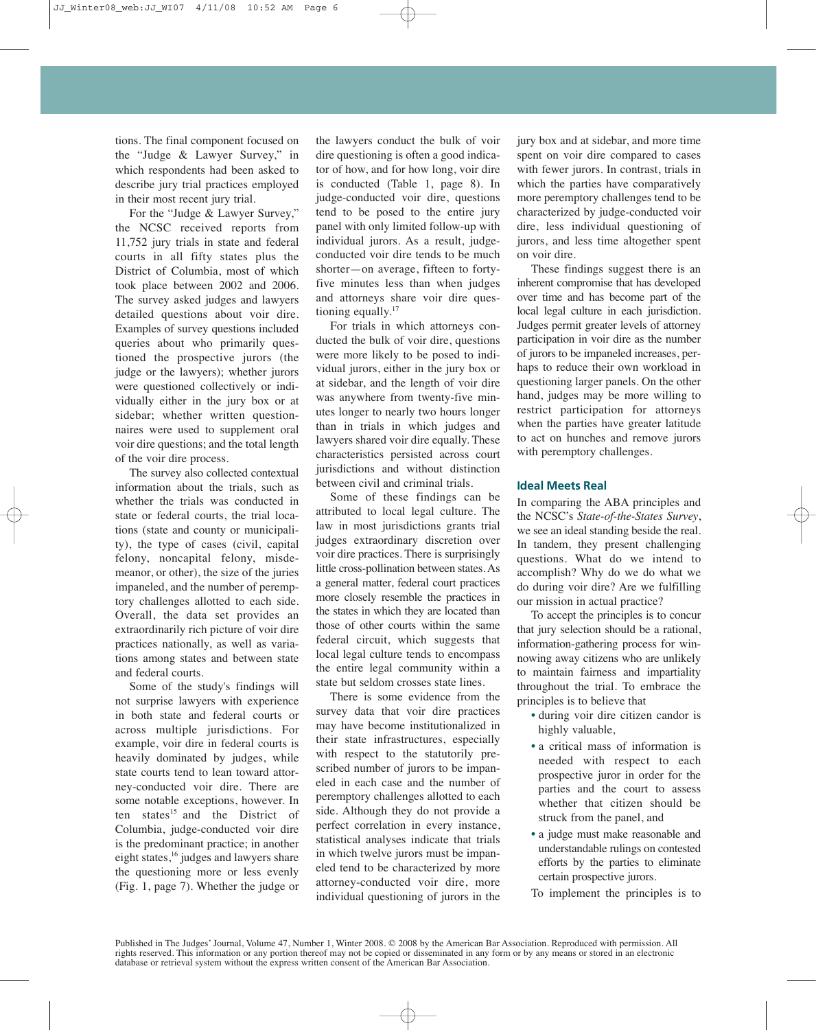tions. The final component focused on the "Judge & Lawyer Survey," in which respondents had been asked to describe jury trial practices employed in their most recent jury trial.

For the "Judge & Lawyer Survey," the NCSC received reports from 11,752 jury trials in state and federal courts in all fifty states plus the District of Columbia, most of which took place between 2002 and 2006. The survey asked judges and lawyers detailed questions about voir dire. Examples of survey questions included queries about who primarily questioned the prospective jurors (the judge or the lawyers); whether jurors were questioned collectively or individually either in the jury box or at sidebar; whether written questionnaires were used to supplement oral voir dire questions; and the total length of the voir dire process.

The survey also collected contextual information about the trials, such as whether the trials was conducted in state or federal courts, the trial locations (state and county or municipality), the type of cases (civil, capital felony, noncapital felony, misdemeanor, or other), the size of the juries impaneled, and the number of peremptory challenges allotted to each side. Overall, the data set provides an extraordinarily rich picture of voir dire practices nationally, as well as variations among states and between state and federal courts.

Some of the study's findings will not surprise lawyers with experience in both state and federal courts or across multiple jurisdictions. For example, voir dire in federal courts is heavily dominated by judges, while state courts tend to lean toward attorney-conducted voir dire. There are some notable exceptions, however. In ten states<sup>15</sup> and the District of Columbia, judge-conducted voir dire is the predominant practice; in another eight states,<sup>16</sup> judges and lawyers share the questioning more or less evenly (Fig. 1, page 7). Whether the judge or the lawyers conduct the bulk of voir dire questioning is often a good indicator of how, and for how long, voir dire is conducted (Table 1, page 8). In judge-conducted voir dire, questions tend to be posed to the entire jury panel with only limited follow-up with individual jurors. As a result, judgeconducted voir dire tends to be much shorter—on average, fifteen to fortyfive minutes less than when judges and attorneys share voir dire questioning equally.<sup>17</sup>

For trials in which attorneys conducted the bulk of voir dire, questions were more likely to be posed to individual jurors, either in the jury box or at sidebar, and the length of voir dire was anywhere from twenty-five minutes longer to nearly two hours longer than in trials in which judges and lawyers shared voir dire equally. These characteristics persisted across court jurisdictions and without distinction between civil and criminal trials.

Some of these findings can be attributed to local legal culture. The law in most jurisdictions grants trial judges extraordinary discretion over voir dire practices. There is surprisingly little cross-pollination between states.As a general matter, federal court practices more closely resemble the practices in the states in which they are located than those of other courts within the same federal circuit, which suggests that local legal culture tends to encompass the entire legal community within a state but seldom crosses state lines.

There is some evidence from the survey data that voir dire practices may have become institutionalized in their state infrastructures, especially with respect to the statutorily prescribed number of jurors to be impaneled in each case and the number of peremptory challenges allotted to each side. Although they do not provide a perfect correlation in every instance, statistical analyses indicate that trials in which twelve jurors must be impaneled tend to be characterized by more attorney-conducted voir dire, more individual questioning of jurors in the

jury box and at sidebar, and more time spent on voir dire compared to cases with fewer jurors. In contrast, trials in which the parties have comparatively more peremptory challenges tend to be characterized by judge-conducted voir dire, less individual questioning of jurors, and less time altogether spent on voir dire.

These findings suggest there is an inherent compromise that has developed over time and has become part of the local legal culture in each jurisdiction. Judges permit greater levels of attorney participation in voir dire as the number of jurors to be impaneled increases, perhaps to reduce their own workload in questioning larger panels. On the other hand, judges may be more willing to restrict participation for attorneys when the parties have greater latitude to act on hunches and remove jurors with peremptory challenges.

### **Ideal Meets Real**

In comparing the ABA principles and the NCSC's *State-of-the-States Survey*, we see an ideal standing beside the real. In tandem, they present challenging questions. What do we intend to accomplish? Why do we do what we do during voir dire? Are we fulfilling our mission in actual practice?

To accept the principles is to concur that jury selection should be a rational, information-gathering process for winnowing away citizens who are unlikely to maintain fairness and impartiality throughout the trial. To embrace the principles is to believe that

- during voir dire citizen candor is highly valuable,
- a critical mass of information is needed with respect to each prospective juror in order for the parties and the court to assess whether that citizen should be struck from the panel, and
- a judge must make reasonable and understandable rulings on contested efforts by the parties to eliminate certain prospective jurors.
- To implement the principles is to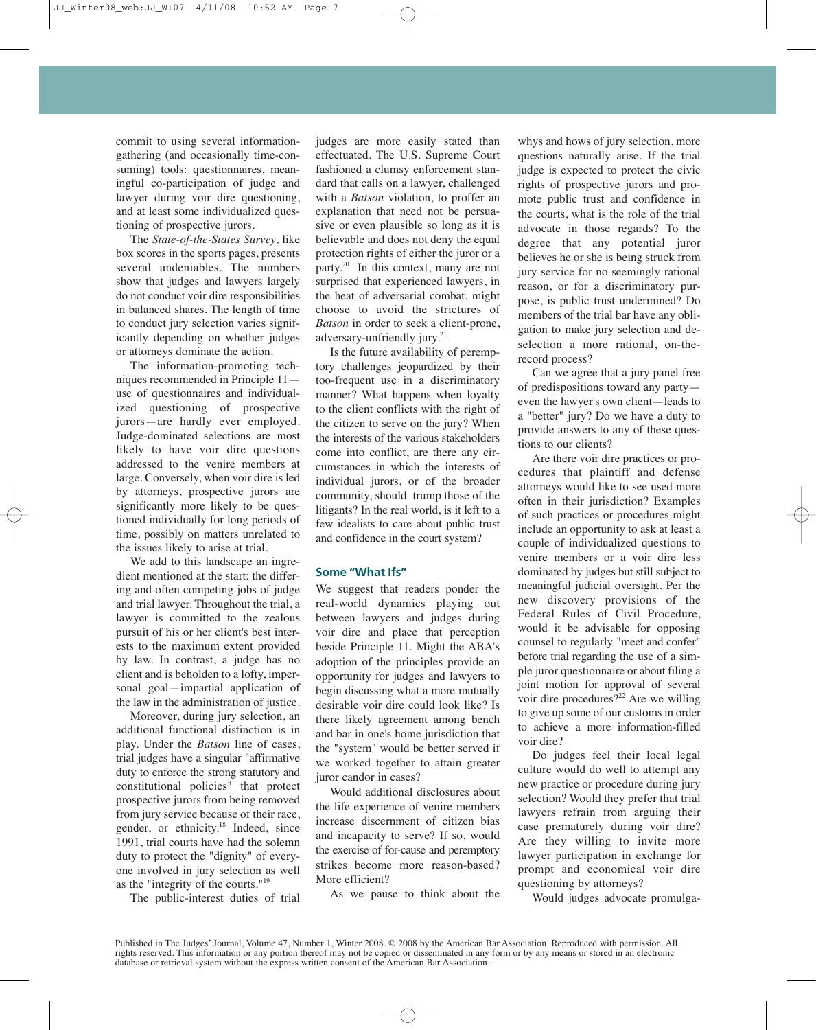commit to using several informationgathering (and occasionally time-consuming) tools: questionnaires, meaningful co-participation of judge and lawyer during voir dire questioning, and at least some individualized questioning of prospective jurors.

The *State-of-the-States Survey*, like box scores in the sports pages, presents several undeniables. The numbers show that judges and lawyers largely do not conduct voir dire responsibilities in balanced shares. The length of time to conduct jury selection varies significantly depending on whether judges or attorneys dominate the action.

The information-promoting techniques recommended in Principle 11 use of questionnaires and individualized questioning of prospective jurors—are hardly ever employed. Judge-dominated selections are most likely to have voir dire questions addressed to the venire members at large. Conversely, when voir dire is led by attorneys, prospective jurors are significantly more likely to be questioned individually for long periods of time, possibly on matters unrelated to the issues likely to arise at trial.

We add to this landscape an ingredient mentioned at the start: the differing and often competing jobs of judge and trial lawyer. Throughout the trial, a lawyer is committed to the zealous pursuit of his or her client's best interests to the maximum extent provided by law. In contrast, a judge has no client and is beholden to a lofty, impersonal goal—impartial application of the law in the administration of justice.

Moreover, during jury selection, an additional functional distinction is in play. Under the *Batson* line of cases, trial judges have a singular "affirmative duty to enforce the strong statutory and constitutional policies" that protect prospective jurors from being removed from jury service because of their race, gender, or ethnicity. <sup>18</sup> Indeed, since 1991, trial courts have had the solemn duty to protect the "dignity" of everyone involved in jury selection as well as the "integrity of the courts."19

The public-interest duties of trial

judges are more easily stated than effectuated. The U.S. Supreme Court fashioned a clumsy enforcement standard that calls on a lawyer, challenged with a *Batson* violation, to proffer an explanation that need not be persuasive or even plausible so long as it is believable and does not deny the equal protection rights of either the juror or a party. <sup>20</sup> In this context, many are not surprised that experienced lawyers, in the heat of adversarial combat, might choose to avoid the strictures of *Batson* in order to seek a client-prone, adversary-unfriendly jury. 21

Is the future availability of peremptory challenges jeopardized by their too-frequent use in a discriminatory manner? What happens when loyalty to the client conflicts with the right of the citizen to serve on the jury? When the interests of the various stakeholders come into conflict, are there any circumstances in which the interests of individual jurors, or of the broader community, should trump those of the litigants? In the real world, is it left to a few idealists to care about public trust and confidence in the court system?

## **Some "What Ifs"**

We suggest that readers ponder the real-world dynamics playing out between lawyers and judges during voir dire and place that perception beside Principle 11. Might the ABA's adoption of the principles provide an opportunity for judges and lawyers to begin discussing what a more mutually desirable voir dire could look like? Is there likely agreement among bench and bar in one's home jurisdiction that the "system" would be better served if we worked together to attain greater juror candor in cases?

Would additional disclosures about the life experience of venire members increase discernment of citizen bias and incapacity to serve? If so, would the exercise of for-cause and peremptory strikes become more reason-based? More efficient?

As we pause to think about the

whys and hows of jury selection, more questions naturally arise. If the trial judge is expected to protect the civic rights of prospective jurors and promote public trust and confidence in the courts, what is the role of the trial advocate in those regards? To the degree that any potential juror believes he or she is being struck from jury service for no seemingly rational reason, or for a discriminatory purpose, is public trust undermined? Do members of the trial bar have any obligation to make jury selection and deselection a more rational, on-therecord process?

Can we agree that a jury panel free of predispositions toward any party even the lawyer's own client—leads to a "better" jury? Do we have a duty to provide answers to any of these questions to our clients?

Are there voir dire practices or procedures that plaintiff and defense attorneys would like to see used more often in their jurisdiction? Examples of such practices or procedures might include an opportunity to ask at least a couple of individualized questions to venire members or a voir dire less dominated by judges but still subject to meaningful judicial oversight. Per the new discovery provisions of the Federal Rules of Civil Procedure, would it be advisable for opposing counsel to regularly "meet and confer" before trial regarding the use of a simple juror questionnaire or about filing a joint motion for approval of several voir dire procedures?<sup>22</sup> Are we willing to give up some of our customs in order to achieve a more information-filled voir dire?

Do judges feel their local legal culture would do well to attempt any new practice or procedure during jury selection? Would they prefer that trial lawyers refrain from arguing their case prematurely during voir dire? Are they willing to invite more lawyer participation in exchange for prompt and economical voir dire questioning by attorneys?

Would judges advocate promulga-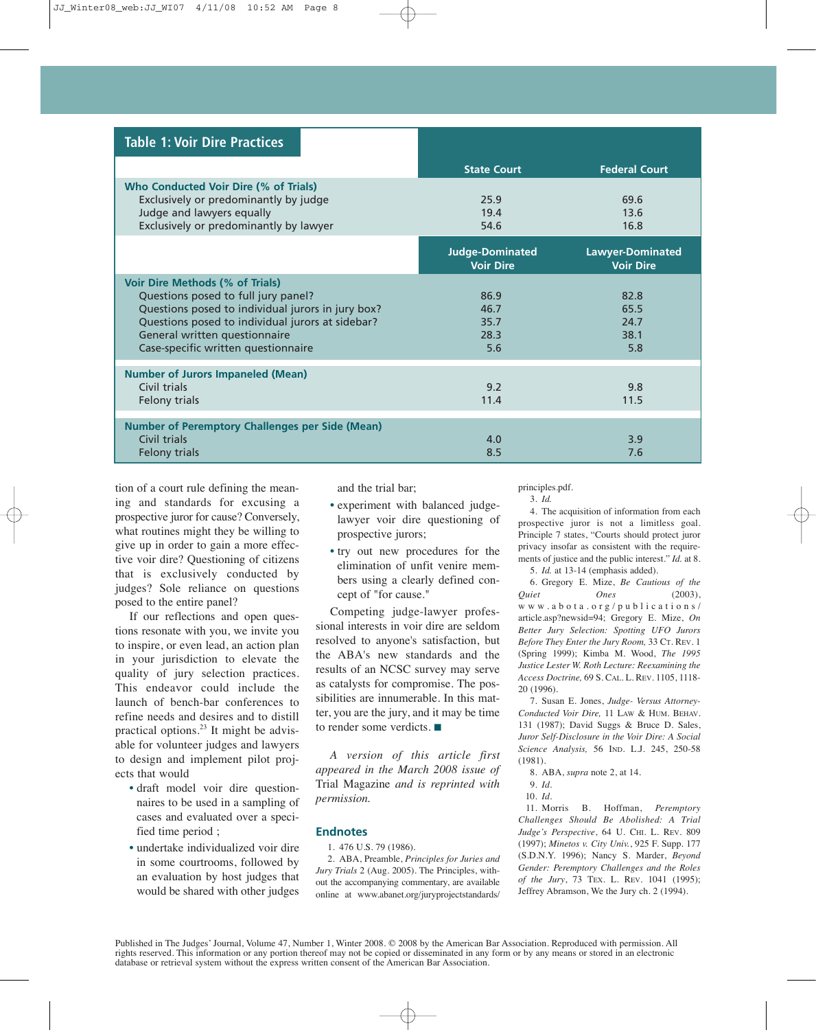| <b>Table 1: Voir Dire Practices</b>                                                                                                                   |                                            |                                             |
|-------------------------------------------------------------------------------------------------------------------------------------------------------|--------------------------------------------|---------------------------------------------|
|                                                                                                                                                       | <b>State Court</b>                         | <b>Federal Court</b>                        |
| Who Conducted Voir Dire (% of Trials)<br>Exclusively or predominantly by judge<br>Judge and lawyers equally<br>Exclusively or predominantly by lawyer | 25.9<br>19.4<br>54.6                       | 69.6<br>13.6<br>16.8                        |
|                                                                                                                                                       | <b>Judge-Dominated</b><br><b>Voir Dire</b> | <b>Lawyer-Dominated</b><br><b>Voir Dire</b> |
| <b>Voir Dire Methods (% of Trials)</b><br>Questions posed to full jury panel?                                                                         | 86.9                                       | 82.8                                        |
| Questions posed to individual jurors in jury box?                                                                                                     | 46.7                                       | 65.5                                        |
| Questions posed to individual jurors at sidebar?                                                                                                      | 35.7                                       | 24.7                                        |
| General written questionnaire                                                                                                                         | 28.3                                       | 38.1                                        |
| Case-specific written questionnaire                                                                                                                   | 5.6                                        | 5.8                                         |
| <b>Number of Jurors Impaneled (Mean)</b>                                                                                                              |                                            |                                             |
| Civil trials                                                                                                                                          | 9.2                                        | 9.8                                         |
| Felony trials                                                                                                                                         | 11.4                                       | 11.5                                        |
|                                                                                                                                                       |                                            |                                             |
| <b>Number of Peremptory Challenges per Side (Mean)</b><br>Civil trials                                                                                |                                            |                                             |
| Felony trials                                                                                                                                         | 4.0<br>8.5                                 | 3.9<br>7.6                                  |
|                                                                                                                                                       |                                            |                                             |

tion of a court rule defining the meaning and standards for excusing a prospective juror for cause? Conversely, what routines might they be willing to give up in order to gain a more effective voir dire? Questioning of citizens that is exclusively conducted by judges? Sole reliance on questions posed to the entire panel?

If our reflections and open questions resonate with you, we invite you to inspire, or even lead, an action plan in your jurisdiction to elevate the quality of jury selection practices. This endeavor could include the launch of bench-bar conferences to refine needs and desires and to distill practical options. <sup>23</sup> It might be advisable for volunteer judges and lawyers to design and implement pilot projects that would

- draft model voir dire questionnaires to be used in a sampling of cases and evaluated over a specified time period ;
- undertake individualized voir dire in some courtrooms, followed by an evaluation by host judges that would be shared with other judges

and the trial bar;

- experiment with balanced judgelawyer voir dire questioning of prospective jurors;
- try out new procedures for the elimination of unfit venire members using a clearly defined concept of "for cause."

Competing judge-lawyer professional interests in voir dire are seldom resolved to anyone's satisfaction, but the ABA's new standards and the results of an NCSC survey may serve as catalysts for compromise. The possibilities are innumerable. In this matter, you are the jury, and it may be time to render some verdicts. ■

*A version of this article first appeared in the March 2008 issue of* Trial Magazine *and is reprinted with permission.*

#### **Endnotes**

1. 476 U.S. 79 (1986).

2. ABA, Preamble, *Principles for Juries and Jury Trials* 2 (Aug. 2005). The Principles, without the accompanying commentary, are available online at www.abanet.org/juryprojectstandards/ principles.pdf.

3. *Id.*

4. The acquisition of information from each prospective juror is not a limitless goal. Principle 7 states, "Courts should protect juror privacy insofar as consistent with the requirements of justice and the public interest." *Id.* at 8. 5. *Id.* at 13-14 (emphasis added).

6. Gregory E. Mize, *Be Cautious of the Quiet Ones* (2003), w w w . a b o t a . o r g / p u b l i c a t i o n s / article.asp?newsid=94; Gregory E. Mize, *On Better Jury Selection: Spotting UFO Jurors Before They Enter the Jury Room,* 33 CT. REV. 1 (Spring 1999); Kimba M. Wood, *The 1995 Justice Lester W. Roth Lecture: Reexamining the Access Doctrine,* 69 S. CAL. L. REV. 1105, 1118- 20 (1996).

7. Susan E. Jones, *Judge- Versus Attorney-Conducted Voir Dire,* 11 LAW & HUM. BEHAV. 131 (1987); David Suggs & Bruce D. Sales, *Juror Self-Disclosure in the Voir Dire: A Social Science Analysis,* 56 IND. L.J. 245, 250-58 (1981).

- 8. ABA, *supra* note 2, at 14.
- 9. *Id*.

10. *Id*.

11. Morris B. Hoffman, *Peremptory Challenges Should Be Abolished: A Trial Judge's Perspective*, 64 U. CHI. L. REV. 809 (1997); *Minetos v. City Univ.*, 925 F. Supp. 177 (S.D.N.Y. 1996); Nancy S. Marder, *Beyond Gender: Peremptory Challenges and the Roles of the Jury*, 73 TEX. L. REV. 1041 (1995); Jeffrey Abramson, We the Jury ch. 2 (1994).